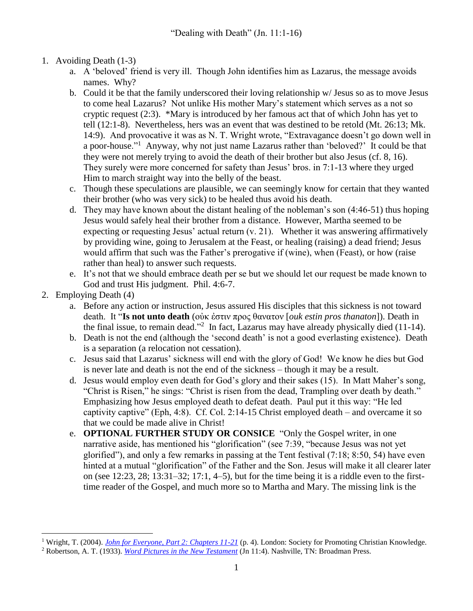- 1. Avoiding Death (1-3)
	- a. A 'beloved' friend is very ill. Though John identifies him as Lazarus, the message avoids names. Why?
	- b. Could it be that the family underscored their loving relationship w/ Jesus so as to move Jesus to come heal Lazarus? Not unlike His mother Mary's statement which serves as a not so cryptic request (2:3). \*Mary is introduced by her famous act that of which John has yet to tell (12:1-8). Nevertheless, hers was an event that was destined to be retold (Mt. 26:13; Mk. 14:9). And provocative it was as N. T. Wright wrote, "Extravagance doesn't go down well in a poor-house."<sup>1</sup> Anyway, why not just name Lazarus rather than 'beloved?' It could be that they were not merely trying to avoid the death of their brother but also Jesus (cf. 8, 16). They surely were more concerned for safety than Jesus' bros. in 7:1-13 where they urged Him to march straight way into the belly of the beast.
	- c. Though these speculations are plausible, we can seemingly know for certain that they wanted their brother (who was very sick) to be healed thus avoid his death.
	- d. They may have known about the distant healing of the nobleman's son (4:46-51) thus hoping Jesus would safely heal their brother from a distance. However, Martha seemed to be expecting or requesting Jesus' actual return (v. 21). Whether it was answering affirmatively by providing wine, going to Jerusalem at the Feast, or healing (raising) a dead friend; Jesus would affirm that such was the Father's prerogative if (wine), when (Feast), or how (raise rather than heal) to answer such requests.
	- e. It's not that we should embrace death per se but we should let our request be made known to God and trust His judgment. Phil. 4:6-7.
- 2. Employing Death (4)

 $\overline{a}$ 

- a. Before any action or instruction, Jesus assured His disciples that this sickness is not toward death. It "**Is not unto death** (οὐκ ἐστιν προς θανατον [*ouk estin pros thanaton*]). Death in the final issue, to remain dead."<sup>2</sup> In fact, Lazarus may have already physically died  $(11-14)$ .
- b. Death is not the end (although the 'second death' is not a good everlasting existence). Death is a separation (a relocation not cessation).
- c. Jesus said that Lazarus' sickness will end with the glory of God! We know he dies but God is never late and death is not the end of the sickness – though it may be a result.
- d. Jesus would employ even death for God's glory and their sakes (15). In Matt Maher's song, "Christ is Risen," he sings: "Christ is risen from the dead, Trampling over death by death." Emphasizing how Jesus employed death to defeat death. Paul put it this way: "He led captivity captive" (Eph, 4:8). Cf. Col. 2:14-15 Christ employed death – and overcame it so that we could be made alive in Christ!
- e. **OPTIONAL FURTHER STUDY OR CONSICE** "Only the Gospel writer, in one narrative aside, has mentioned his "glorification" (see 7:39, "because Jesus was not yet glorified"), and only a few remarks in passing at the Tent festival (7:18; 8:50, 54) have even hinted at a mutual "glorification" of the Father and the Son. Jesus will make it all clearer later on (see  $12:23$ ,  $28$ ;  $13:31-32$ ;  $17:1$ ,  $4-5$ ), but for the time being it is a riddle even to the firsttime reader of the Gospel, and much more so to Martha and Mary. The missing link is the

<sup>1</sup> Wright, T. (2004). *[John for Everyone, Part 2: Chapters 11-21](https://ref.ly/logosres/evry64jn02?ref=Bible.Jn11.1-16&off=6544&ctx=+given+to+the+poor.+~Extravagance+doesn%E2%80%99t)* (p. 4). London: Society for Promoting Christian Knowledge.

<sup>&</sup>lt;sup>2</sup> Robertson, A. T. (1933). *[Word Pictures in the New Testament](https://ref.ly/logosres/rwp?ref=Bible.Jn11.4&off=145&ctx=d+for+the+apostles.+~Is+not+unto+death+(%CE%BF)* (Jn 11:4). Nashville, TN: Broadman Press.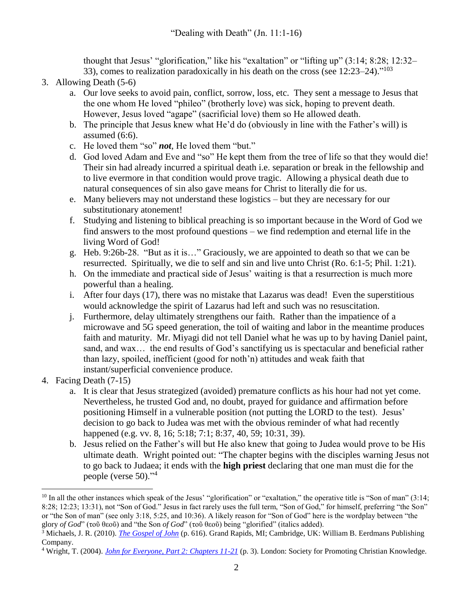thought that Jesus' "glorification," like his "exaltation" or "lifting up" (3:14; 8:28; 12:32– 33), comes to realization paradoxically in his death on the cross (see  $12:23-24$ )."<sup>103</sup>

- 3. Allowing Death (5-6)
	- a. Our love seeks to avoid pain, conflict, sorrow, loss, etc. They sent a message to Jesus that the one whom He loved "phileo" (brotherly love) was sick, hoping to prevent death. However, Jesus loved "agape" (sacrificial love) them so He allowed death.
	- b. The principle that Jesus knew what He'd do (obviously in line with the Father's will) is assumed (6:6).
	- c. He loved them "so" *not*, He loved them "but."
	- d. God loved Adam and Eve and "so" He kept them from the tree of life so that they would die! Their sin had already incurred a spiritual death i.e. separation or break in the fellowship and to live evermore in that condition would prove tragic. Allowing a physical death due to natural consequences of sin also gave means for Christ to literally die for us.
	- e. Many believers may not understand these logistics but they are necessary for our substitutionary atonement!
	- f. Studying and listening to biblical preaching is so important because in the Word of God we find answers to the most profound questions – we find redemption and eternal life in the living Word of God!
	- g. Heb. 9:26b-28. "But as it is…" Graciously, we are appointed to death so that we can be resurrected. Spiritually, we die to self and sin and live unto Christ (Ro. 6:1-5; Phil. 1:21).
	- h. On the immediate and practical side of Jesus' waiting is that a resurrection is much more powerful than a healing.
	- i. After four days (17), there was no mistake that Lazarus was dead! Even the superstitious would acknowledge the spirit of Lazarus had left and such was no resuscitation.
	- j. Furthermore, delay ultimately strengthens our faith. Rather than the impatience of a microwave and 5G speed generation, the toil of waiting and labor in the meantime produces faith and maturity. Mr. Miyagi did not tell Daniel what he was up to by having Daniel paint, sand, and wax… the end results of God's sanctifying us is spectacular and beneficial rather than lazy, spoiled, inefficient (good for noth'n) attitudes and weak faith that instant/superficial convenience produce.
- 4. Facing Death (7-15)
	- a. It is clear that Jesus strategized (avoided) premature conflicts as his hour had not yet come. Nevertheless, he trusted God and, no doubt, prayed for guidance and affirmation before positioning Himself in a vulnerable position (not putting the LORD to the test). Jesus' decision to go back to Judea was met with the obvious reminder of what had recently happened (e.g. vv. 8, 16; 5:18; 7:1; 8:37, 40, 59; 10:31, 39).
	- b. Jesus relied on the Father's will but He also knew that going to Judea would prove to be His ultimate death. Wright pointed out: "The chapter begins with the disciples warning Jesus not to go back to Judaea; it ends with the **high priest** declaring that one man must die for the people (verse 50)."<sup>4</sup>

 $\overline{a}$  $10$  In all the other instances which speak of the Jesus' "glorification" or "exaltation," the operative title is "Son of man" (3:14; 8:28; 12:23; 13:31), not "Son of God." Jesus in fact rarely uses the full term, "Son of God," for himself, preferring "the Son" or "the Son of man" (see only 3:18, 5:25, and 10:36). A likely reason for "Son of God" here is the wordplay between "the glory *of God*" (τοῦ θεοῦ) and "the Son *of God*" (τοῦ θεοῦ) being "glorified" (italics added).

<sup>3</sup> Michaels, J. R. (2010). *[The Gospel of John](https://ref.ly/logosres/nicnt64jn3?ref=Bible.Jn11.4&off=2065&ctx=of+the+kind+before.+~Only+the+Gospel+writ)* (p. 616). Grand Rapids, MI; Cambridge, UK: William B. Eerdmans Publishing Company.

<sup>4</sup> Wright, T. (2004). *[John for Everyone, Part 2: Chapters 11-21](https://ref.ly/logosres/evry64jn02?ref=Bible.Jn11.1-16&off=4622&ctx=s+also+about+Jesus.+~The+chapter+begins+w)* (p. 3). London: Society for Promoting Christian Knowledge.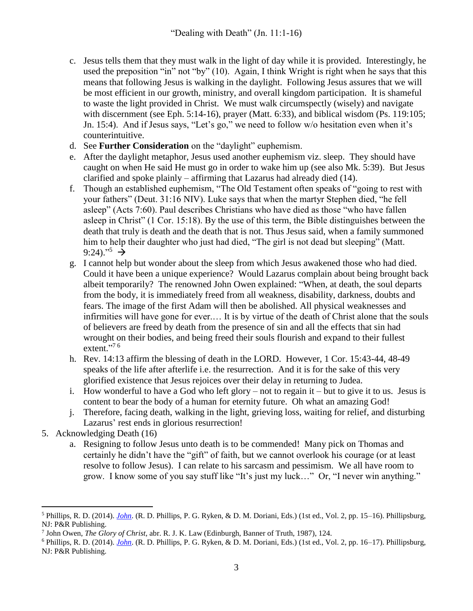- c. Jesus tells them that they must walk in the light of day while it is provided. Interestingly, he used the preposition "in" not "by" (10). Again, I think Wright is right when he says that this means that following Jesus is walking in the daylight. Following Jesus assures that we will be most efficient in our growth, ministry, and overall kingdom participation. It is shameful to waste the light provided in Christ. We must walk circumspectly (wisely) and navigate with discernment (see Eph. 5:14-16), prayer (Matt. 6:33), and biblical wisdom (Ps. 119:105; Jn. 15:4). And if Jesus says, "Let's go," we need to follow w/o hesitation even when it's counterintuitive.
- d. See **Further Consideration** on the "daylight" euphemism.
- e. After the daylight metaphor, Jesus used another euphemism viz. sleep. They should have caught on when He said He must go in order to wake him up (see also Mk. 5:39). But Jesus clarified and spoke plainly – affirming that Lazarus had already died (14).
- f. Though an established euphemism, "The Old Testament often speaks of "going to rest with your fathers" (Deut. 31:16 NIV). Luke says that when the martyr Stephen died, "he fell asleep" (Acts 7:60). Paul describes Christians who have died as those "who have fallen asleep in Christ" (1 Cor. 15:18). By the use of this term, the Bible distinguishes between the death that truly is death and the death that is not. Thus Jesus said, when a family summoned him to help their daughter who just had died, "The girl is not dead but sleeping" (Matt. 9:24)."<sup>5</sup>  $\rightarrow$
- g. I cannot help but wonder about the sleep from which Jesus awakened those who had died. Could it have been a unique experience? Would Lazarus complain about being brought back albeit temporarily? The renowned John Owen explained: "When, at death, the soul departs from the body, it is immediately freed from all weakness, disability, darkness, doubts and fears. The image of the first Adam will then be abolished. All physical weaknesses and infirmities will have gone for ever.… It is by virtue of the death of Christ alone that the souls of believers are freed by death from the presence of sin and all the effects that sin had wrought on their bodies, and being freed their souls flourish and expand to their fullest extent."<sup>76</sup>
- h. Rev. 14:13 affirm the blessing of death in the LORD. However, 1 Cor. 15:43-44, 48-49 speaks of the life after afterlife i.e. the resurrection. And it is for the sake of this very glorified existence that Jesus rejoices over their delay in returning to Judea.
- i. How wonderful to have a God who left glory not to regain it but to give it to us. Jesus is content to bear the body of a human for eternity future. Oh what an amazing God!
- j. Therefore, facing death, walking in the light, grieving loss, waiting for relief, and disturbing Lazarus' rest ends in glorious resurrection!
- 5. Acknowledging Death (16)
	- a. Resigning to follow Jesus unto death is to be commended! Many pick on Thomas and certainly he didn't have the "gift" of faith, but we cannot overlook his courage (or at least resolve to follow Jesus). I can relate to his sarcasm and pessimism. We all have room to grow. I know some of you say stuff like "It's just my luck…" Or, "I never win anything."

 $\overline{a}$ <sup>5</sup> Phillips, R. D. (2014). *[John](https://ref.ly/logosres/rec64jn?ref=Bible.Jn11.7-16&off=3021&ctx=believers+as+sleep.+~The+Old+Testament+of)*. (R. D. Phillips, P. G. Ryken, & D. M. Doriani, Eds.) (1st ed., Vol. 2, pp. 15–16). Phillipsburg, NJ: P&R Publishing.

<sup>7</sup> John Owen, *The Glory of Christ*, abr. R. J. K. Law (Edinburgh, Banner of Truth, 1987), 124.

<sup>6</sup> Phillips, R. D. (2014). *[John](https://ref.ly/logosres/rec64jn?ref=Bible.Jn11.7-16&off=5224&ctx=+of+sin+and+sorrow.+~John+Owen+explains%3a%0a)*. (R. D. Phillips, P. G. Ryken, & D. M. Doriani, Eds.) (1st ed., Vol. 2, pp. 16–17). Phillipsburg, NJ: P&R Publishing.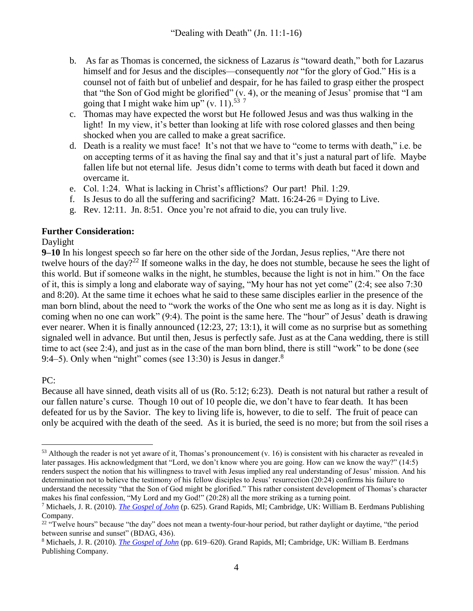- b. As far as Thomas is concerned, the sickness of Lazarus *is* "toward death," both for Lazarus himself and for Jesus and the disciples—consequently *not* "for the glory of God." His is a counsel not of faith but of unbelief and despair, for he has failed to grasp either the prospect that "the Son of God might be glorified" (v. 4), or the meaning of Jesus' promise that "I am going that I might wake him up" (v. 11).<sup>53 7</sup>
- c. Thomas may have expected the worst but He followed Jesus and was thus walking in the light! In my view, it's better than looking at life with rose colored glasses and then being shocked when you are called to make a great sacrifice.
- d. Death is a reality we must face! It's not that we have to "come to terms with death," i.e. be on accepting terms of it as having the final say and that it's just a natural part of life. Maybe fallen life but not eternal life. Jesus didn't come to terms with death but faced it down and overcame it.
- e. Col. 1:24. What is lacking in Christ's afflictions? Our part! Phil. 1:29.
- f. Is Jesus to do all the suffering and sacrificing? Matt.  $16:24-26 =$  Dying to Live.
- g. Rev. 12:11. Jn. 8:51. Once you're not afraid to die, you can truly live.

## **Further Consideration:**

## Daylight

**9–10** In his longest speech so far here on the other side of the Jordan, Jesus replies, "Are there not twelve hours of the day?<sup>22</sup> If someone walks in the day, he does not stumble, because he sees the light of this world. But if someone walks in the night, he stumbles, because the light is not in him." On the face of it, this is simply a long and elaborate way of saying, "My hour has not yet come" (2:4; see also 7:30 and 8:20). At the same time it echoes what he said to these same disciples earlier in the presence of the man born blind, about the need to "work the works of the One who sent me as long as it is day. Night is coming when no one can work" (9:4). The point is the same here. The "hour" of Jesus' death is drawing ever nearer. When it is finally announced (12:23, 27; 13:1), it will come as no surprise but as something signaled well in advance. But until then, Jesus is perfectly safe. Just as at the Cana wedding, there is still time to act (see 2:4), and just as in the case of the man born blind, there is still "work" to be done (see 9:4–5). Only when "night" comes (see 13:30) is Jesus in danger. $8$ 

## PC:

Because all have sinned, death visits all of us (Ro. 5:12; 6:23). Death is not natural but rather a result of our fallen nature's curse. Though 10 out of 10 people die, we don't have to fear death. It has been defeated for us by the Savior. The key to living life is, however, to die to self. The fruit of peace can only be acquired with the death of the seed. As it is buried, the seed is no more; but from the soil rises a

 $\overline{a}$  $53$  Although the reader is not yet aware of it, Thomas's pronouncement (v. 16) is consistent with his character as revealed in later passages. His acknowledgment that "Lord, we don't know where you are going. How can we know the way?" (14:5) renders suspect the notion that his willingness to travel with Jesus implied any real understanding of Jesus' mission. And his determination not to believe the testimony of his fellow disciples to Jesus' resurrection (20:24) confirms his failure to understand the necessity "that the Son of God might be glorified." This rather consistent development of Thomas's character makes his final confession, "My Lord and my God!" (20:28) all the more striking as a turning point.

<sup>7</sup> Michaels, J. R. (2010). *[The Gospel of John](https://ref.ly/logosres/nicnt64jn3?ref=Bible.Jn11.16&off=2710&ctx=+glorified%E2%80%9D+(v.+4).+~As+far+as+Thomas+is+)* (p. 625). Grand Rapids, MI; Cambridge, UK: William B. Eerdmans Publishing Company.

 $22$  "Twelve hours" because "the day" does not mean a twenty-four-hour period, but rather daylight or daytime, "the period between sunrise and sunset" (BDAG, 436).

<sup>8</sup> Michaels, J. R. (2010). *[The Gospel of John](https://ref.ly/logosres/nicnt64jn3?ref=Bible.Jn11.9-10&off=0&ctx=n+more+appropriate!%0a~9%E2%80%9310+In+his+longest+)* (pp. 619–620). Grand Rapids, MI; Cambridge, UK: William B. Eerdmans Publishing Company.